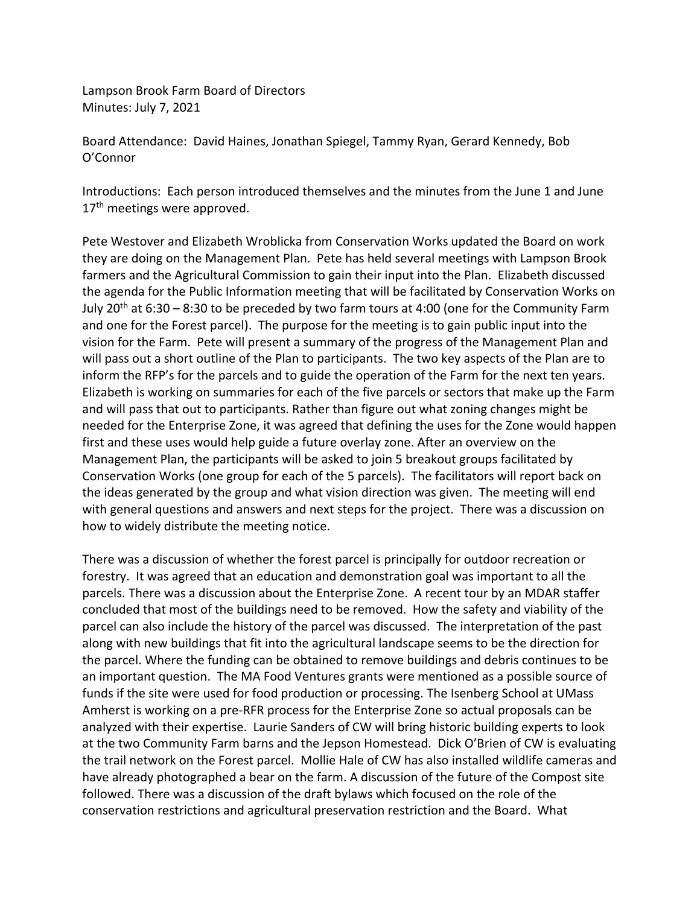Lampson Brook Farm Board of Directors Minutes: July 7, 2021

Board Attendance: David Haines, Jonathan Spiegel, Tammy Ryan, Gerard Kennedy, Bob O'Connor

Introductions: Each person introduced themselves and the minutes from the June 1 and June 17<sup>th</sup> meetings were approved.

Pete Westover and Elizabeth Wroblicka from Conservation Works updated the Board on work they are doing on the Management Plan. Pete has held several meetings with Lampson Brook farmers and the Agricultural Commission to gain their input into the Plan. Elizabeth discussed the agenda for the Public Information meeting that will be facilitated by Conservation Works on July 20<sup>th</sup> at 6:30 – 8:30 to be preceded by two farm tours at 4:00 (one for the Community Farm and one for the Forest parcel). The purpose for the meeting is to gain public input into the vision for the Farm. Pete will present a summary of the progress of the Management Plan and will pass out a short outline of the Plan to participants. The two key aspects of the Plan are to inform the RFP's for the parcels and to guide the operation of the Farm for the next ten years. Elizabeth is working on summaries for each of the five parcels or sectors that make up the Farm and will pass that out to participants. Rather than figure out what zoning changes might be needed for the Enterprise Zone, it was agreed that defining the uses for the Zone would happen first and these uses would help guide a future overlay zone. After an overview on the Management Plan, the participants will be asked to join 5 breakout groups facilitated by Conservation Works (one group for each of the 5 parcels). The facilitators will report back on the ideas generated by the group and what vision direction was given. The meeting will end with general questions and answers and next steps for the project. There was a discussion on how to widely distribute the meeting notice.

There was a discussion of whether the forest parcel is principally for outdoor recreation or forestry. It was agreed that an education and demonstration goal was important to all the parcels. There was a discussion about the Enterprise Zone. A recent tour by an MDAR staffer concluded that most of the buildings need to be removed. How the safety and viability of the parcel can also include the history of the parcel was discussed. The interpretation of the past along with new buildings that fit into the agricultural landscape seems to be the direction for the parcel. Where the funding can be obtained to remove buildings and debris continues to be an important question. The MA Food Ventures grants were mentioned as a possible source of funds if the site were used for food production or processing. The Isenberg School at UMass Amherst is working on a pre-RFR process for the Enterprise Zone so actual proposals can be analyzed with their expertise. Laurie Sanders of CW will bring historic building experts to look at the two Community Farm barns and the Jepson Homestead. Dick O'Brien of CW is evaluating the trail network on the Forest parcel. Mollie Hale of CW has also installed wildlife cameras and have already photographed a bear on the farm. A discussion of the future of the Compost site followed. There was a discussion of the draft bylaws which focused on the role of the conservation restrictions and agricultural preservation restriction and the Board. What